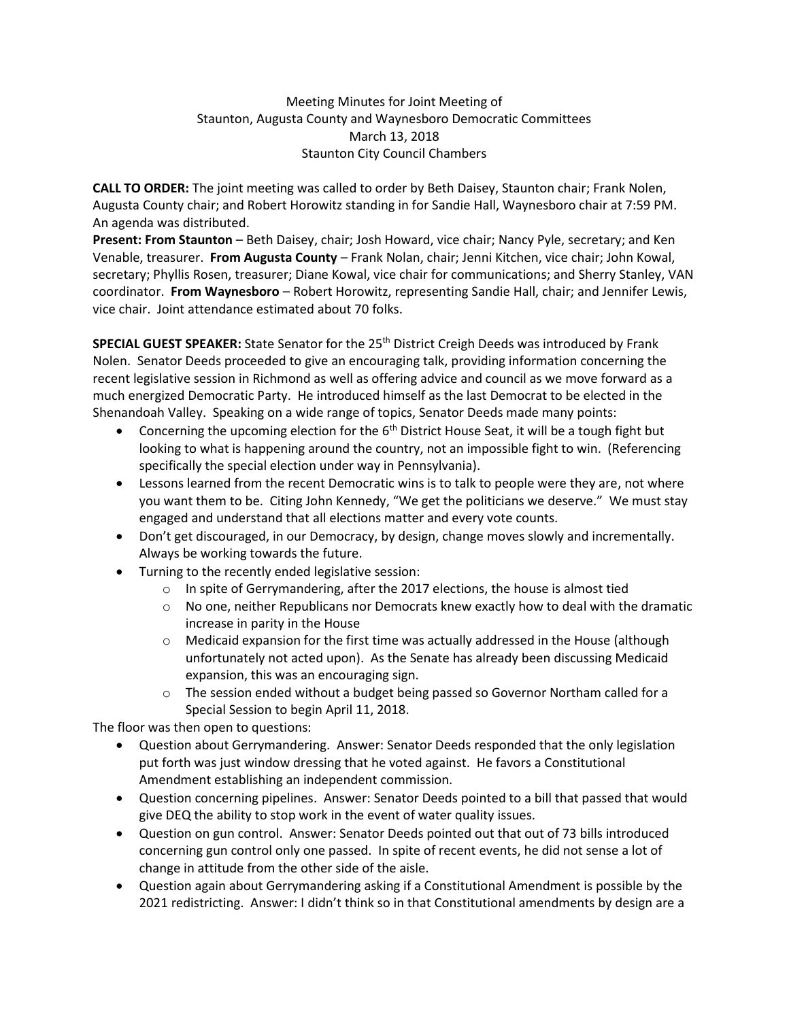## Meeting Minutes for Joint Meeting of Staunton, Augusta County and Waynesboro Democratic Committees March 13, 2018 Staunton City Council Chambers

**CALL TO ORDER:** The joint meeting was called to order by Beth Daisey, Staunton chair; Frank Nolen, Augusta County chair; and Robert Horowitz standing in for Sandie Hall, Waynesboro chair at 7:59 PM. An agenda was distributed.

**Present: From Staunton** – Beth Daisey, chair; Josh Howard, vice chair; Nancy Pyle, secretary; and Ken Venable, treasurer. **From Augusta County** – Frank Nolan, chair; Jenni Kitchen, vice chair; John Kowal, secretary; Phyllis Rosen, treasurer; Diane Kowal, vice chair for communications; and Sherry Stanley, VAN coordinator. **From Waynesboro** – Robert Horowitz, representing Sandie Hall, chair; and Jennifer Lewis, vice chair. Joint attendance estimated about 70 folks.

SPECIAL GUEST SPEAKER: State Senator for the 25<sup>th</sup> District Creigh Deeds was introduced by Frank Nolen. Senator Deeds proceeded to give an encouraging talk, providing information concerning the recent legislative session in Richmond as well as offering advice and council as we move forward as a much energized Democratic Party. He introduced himself as the last Democrat to be elected in the Shenandoah Valley. Speaking on a wide range of topics, Senator Deeds made many points:

- Concerning the upcoming election for the  $6<sup>th</sup>$  District House Seat, it will be a tough fight but looking to what is happening around the country, not an impossible fight to win. (Referencing specifically the special election under way in Pennsylvania).
- Lessons learned from the recent Democratic wins is to talk to people were they are, not where you want them to be. Citing John Kennedy, "We get the politicians we deserve." We must stay engaged and understand that all elections matter and every vote counts.
- Don't get discouraged, in our Democracy, by design, change moves slowly and incrementally. Always be working towards the future.
- Turning to the recently ended legislative session:
	- $\circ$  In spite of Gerrymandering, after the 2017 elections, the house is almost tied
	- $\circ$  No one, neither Republicans nor Democrats knew exactly how to deal with the dramatic increase in parity in the House
	- $\circ$  Medicaid expansion for the first time was actually addressed in the House (although unfortunately not acted upon). As the Senate has already been discussing Medicaid expansion, this was an encouraging sign.
	- $\circ$  The session ended without a budget being passed so Governor Northam called for a Special Session to begin April 11, 2018.

The floor was then open to questions:

- Question about Gerrymandering. Answer: Senator Deeds responded that the only legislation put forth was just window dressing that he voted against. He favors a Constitutional Amendment establishing an independent commission.
- Question concerning pipelines. Answer: Senator Deeds pointed to a bill that passed that would give DEQ the ability to stop work in the event of water quality issues.
- Question on gun control. Answer: Senator Deeds pointed out that out of 73 bills introduced concerning gun control only one passed. In spite of recent events, he did not sense a lot of change in attitude from the other side of the aisle.
- Question again about Gerrymandering asking if a Constitutional Amendment is possible by the 2021 redistricting. Answer: I didn't think so in that Constitutional amendments by design are a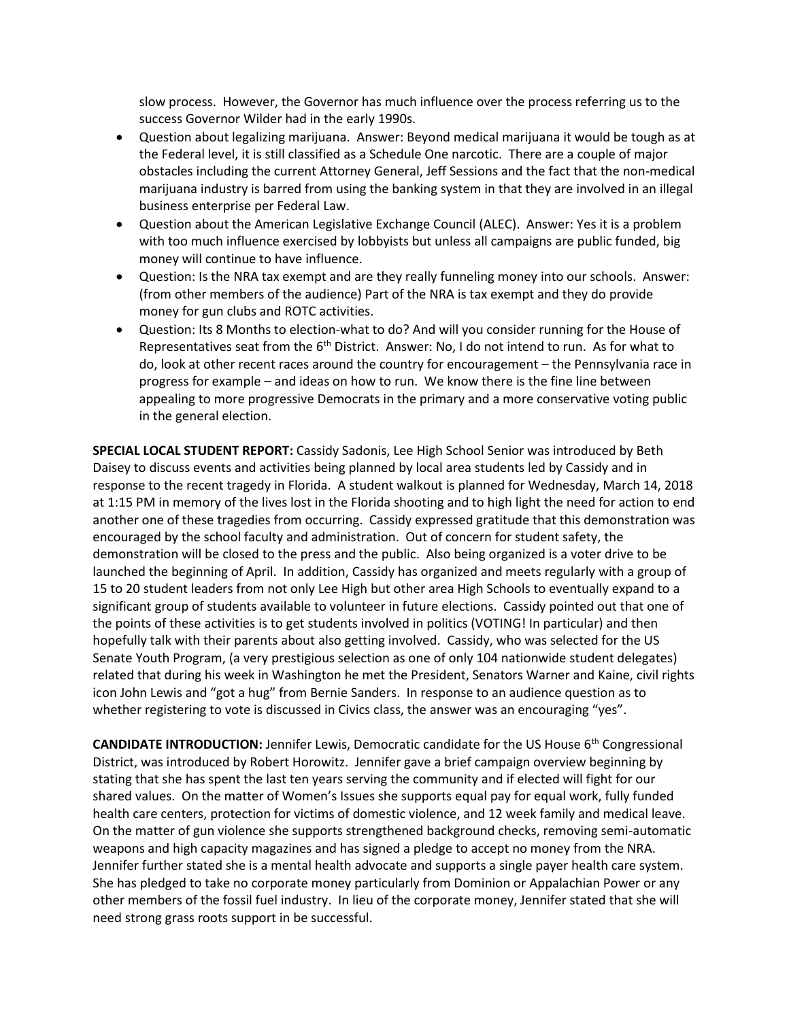slow process. However, the Governor has much influence over the process referring us to the success Governor Wilder had in the early 1990s.

- Question about legalizing marijuana. Answer: Beyond medical marijuana it would be tough as at the Federal level, it is still classified as a Schedule One narcotic. There are a couple of major obstacles including the current Attorney General, Jeff Sessions and the fact that the non-medical marijuana industry is barred from using the banking system in that they are involved in an illegal business enterprise per Federal Law.
- Question about the American Legislative Exchange Council (ALEC). Answer: Yes it is a problem with too much influence exercised by lobbyists but unless all campaigns are public funded, big money will continue to have influence.
- Question: Is the NRA tax exempt and are they really funneling money into our schools. Answer: (from other members of the audience) Part of the NRA is tax exempt and they do provide money for gun clubs and ROTC activities.
- Question: Its 8 Months to election-what to do? And will you consider running for the House of Representatives seat from the  $6<sup>th</sup>$  District. Answer: No, I do not intend to run. As for what to do, look at other recent races around the country for encouragement – the Pennsylvania race in progress for example – and ideas on how to run. We know there is the fine line between appealing to more progressive Democrats in the primary and a more conservative voting public in the general election.

**SPECIAL LOCAL STUDENT REPORT:** Cassidy Sadonis, Lee High School Senior was introduced by Beth Daisey to discuss events and activities being planned by local area students led by Cassidy and in response to the recent tragedy in Florida. A student walkout is planned for Wednesday, March 14, 2018 at 1:15 PM in memory of the lives lost in the Florida shooting and to high light the need for action to end another one of these tragedies from occurring. Cassidy expressed gratitude that this demonstration was encouraged by the school faculty and administration. Out of concern for student safety, the demonstration will be closed to the press and the public. Also being organized is a voter drive to be launched the beginning of April. In addition, Cassidy has organized and meets regularly with a group of 15 to 20 student leaders from not only Lee High but other area High Schools to eventually expand to a significant group of students available to volunteer in future elections. Cassidy pointed out that one of the points of these activities is to get students involved in politics (VOTING! In particular) and then hopefully talk with their parents about also getting involved. Cassidy, who was selected for the US Senate Youth Program, (a very prestigious selection as one of only 104 nationwide student delegates) related that during his week in Washington he met the President, Senators Warner and Kaine, civil rights icon John Lewis and "got a hug" from Bernie Sanders. In response to an audience question as to whether registering to vote is discussed in Civics class, the answer was an encouraging "yes".

**CANDIDATE INTRODUCTION:** Jennifer Lewis, Democratic candidate for the US House 6<sup>th</sup> Congressional District, was introduced by Robert Horowitz. Jennifer gave a brief campaign overview beginning by stating that she has spent the last ten years serving the community and if elected will fight for our shared values. On the matter of Women's Issues she supports equal pay for equal work, fully funded health care centers, protection for victims of domestic violence, and 12 week family and medical leave. On the matter of gun violence she supports strengthened background checks, removing semi-automatic weapons and high capacity magazines and has signed a pledge to accept no money from the NRA. Jennifer further stated she is a mental health advocate and supports a single payer health care system. She has pledged to take no corporate money particularly from Dominion or Appalachian Power or any other members of the fossil fuel industry. In lieu of the corporate money, Jennifer stated that she will need strong grass roots support in be successful.